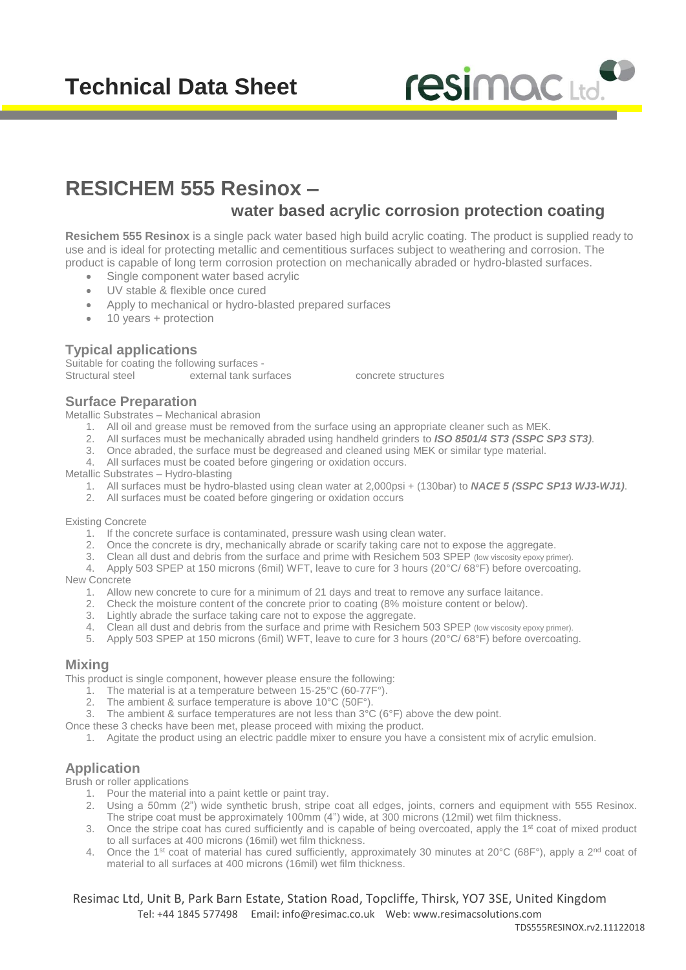# **Technical Data Sheet**



# **RESICHEM 555 Resinox –**

# **water based acrylic corrosion protection coating**

**Resichem 555 Resinox** is a single pack water based high build acrylic coating. The product is supplied ready to use and is ideal for protecting metallic and cementitious surfaces subject to weathering and corrosion. The product is capable of long term corrosion protection on mechanically abraded or hydro-blasted surfaces.

- Single component water based acrylic
- UV stable & flexible once cured
- Apply to mechanical or hydro-blasted prepared surfaces
- 10 years + protection

# **Typical applications**

Suitable for coating the following surfaces -<br>Structural steel external tank sur external tank surfaces concrete structures

#### **Surface Preparation**

Metallic Substrates – Mechanical abrasion

- 1. All oil and grease must be removed from the surface using an appropriate cleaner such as MEK.
- 2. All surfaces must be mechanically abraded using handheld grinders to *ISO 8501/4 ST3 (SSPC SP3 ST3)*.
- 3. Once abraded, the surface must be degreased and cleaned using MEK or similar type material.
- 4. All surfaces must be coated before gingering or oxidation occurs.

Metallic Substrates – Hydro-blasting

- 1. All surfaces must be hydro-blasted using clean water at 2,000psi + (130bar) to *NACE 5 (SSPC SP13 WJ3-WJ1)*.
- 2. All surfaces must be coated before gingering or oxidation occurs

Existing Concrete

- 1. If the concrete surface is contaminated, pressure wash using clean water.
- 2. Once the concrete is dry, mechanically abrade or scarify taking care not to expose the aggregate.
- 3. Clean all dust and debris from the surface and prime with Resichem 503 SPEP (low viscosity epoxy primer).
- 4. Apply 503 SPEP at 150 microns (6mil) WFT, leave to cure for 3 hours (20°C/ 68°F) before overcoating.

New Concrete

- 1. Allow new concrete to cure for a minimum of 21 days and treat to remove any surface laitance.
- 2. Check the moisture content of the concrete prior to coating (8% moisture content or below).
- 3. Lightly abrade the surface taking care not to expose the aggregate.
- 4. Clean all dust and debris from the surface and prime with Resichem 503 SPEP (low viscosity epoxy primer).
- 5. Apply 503 SPEP at 150 microns (6mil) WFT, leave to cure for 3 hours (20°C/ 68°F) before overcoating.

#### **Mixing**

This product is single component, however please ensure the following:

- 1. The material is at a temperature between 15-25°C (60-77F°).
- 2. The ambient & surface temperature is above 10°C (50F°).
- 3. The ambient & surface temperatures are not less than 3°C (6°F) above the dew point.
- Once these 3 checks have been met, please proceed with mixing the product.
	- 1. Agitate the product using an electric paddle mixer to ensure you have a consistent mix of acrylic emulsion.

# **Application**

Brush or roller applications

- 1. Pour the material into a paint kettle or paint tray.
- 2. Using a 50mm (2") wide synthetic brush, stripe coat all edges, joints, corners and equipment with 555 Resinox. The stripe coat must be approximately 100mm (4") wide, at 300 microns (12mil) wet film thickness.
- 3. Once the stripe coat has cured sufficiently and is capable of being overcoated, apply the 1<sup>st</sup> coat of mixed product to all surfaces at 400 microns (16mil) wet film thickness.
- 4. Once the 1<sup>st</sup> coat of material has cured sufficiently, approximately 30 minutes at 20 $^{\circ}$ C (68F $^{\circ}$ ), apply a 2<sup>nd</sup> coat of material to all surfaces at 400 microns (16mil) wet film thickness.

Resimac Ltd, Unit B, Park Barn Estate, Station Road, Topcliffe, Thirsk, YO7 3SE, United Kingdom Tel: +44 1845 577498 Email: [info@resimac.co.uk](mailto:info@resimac.co.uk) Web: www.resimacsolutions.com